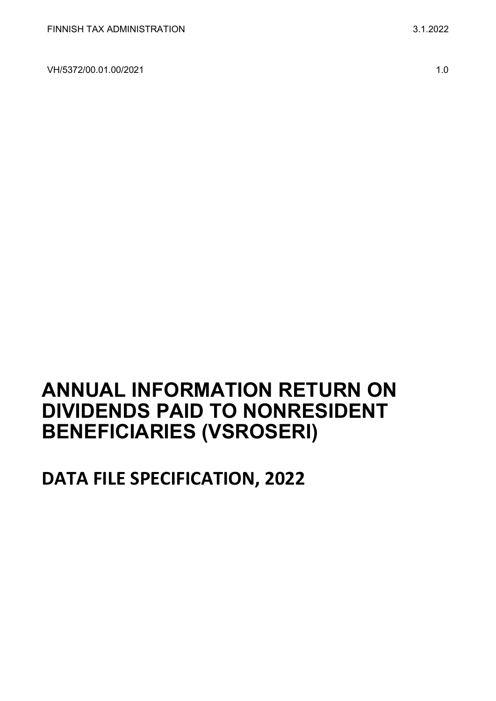VH/5372/00.01.00/2021 1.0

# **ANNUAL INFORMATION RETURN ON DIVIDENDS PAID TO NONRESIDENT BENEFICIARIES (VSROSERI)**

# **DATA FILE SPECIFICATION, 2022**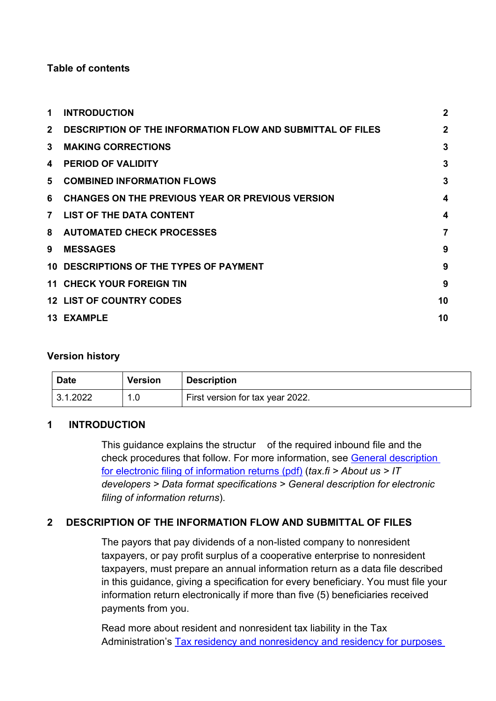### **Table of contents**

| 1              | <b>INTRODUCTION</b>                                               | $\mathbf{2}$ |
|----------------|-------------------------------------------------------------------|--------------|
| $2^{\circ}$    | <b>DESCRIPTION OF THE INFORMATION FLOW AND SUBMITTAL OF FILES</b> | $\mathbf{2}$ |
| 3              | <b>MAKING CORRECTIONS</b>                                         | 3            |
| 4              | <b>PERIOD OF VALIDITY</b>                                         | 3            |
| 5              | <b>COMBINED INFORMATION FLOWS</b>                                 | 3            |
| 6              | <b>CHANGES ON THE PREVIOUS YEAR OR PREVIOUS VERSION</b>           | 4            |
| $\overline{7}$ | <b>LIST OF THE DATA CONTENT</b>                                   | 4            |
| 8              | <b>AUTOMATED CHECK PROCESSES</b>                                  | 7            |
| 9              | <b>MESSAGES</b>                                                   | 9            |
|                | 10 DESCRIPTIONS OF THE TYPES OF PAYMENT                           | 9            |
|                | <b>11 CHECK YOUR FOREIGN TIN</b>                                  | 9            |
|                | <b>12 LIST OF COUNTRY CODES</b>                                   | 10           |
|                | <b>13 EXAMPLE</b>                                                 | 10           |
|                |                                                                   |              |

#### **Version history**

| <b>Date</b> | <b>Version</b> | <b>Description</b>               |
|-------------|----------------|----------------------------------|
| 3.1.2022    | 1.0            | First version for tax year 2022. |

## <span id="page-1-0"></span>**1 INTRODUCTION**

This guidance explains the structur of the required inbound file and the check procedures that follow. For more information, see [General description](https://www.vero.fi/globalassets/tietoa-verohallinnosta/ohjelmistokehittajille/finnish-tax-administration_electronic-filing-of-information-returns-general-description.pdf)  [for electronic filing of information returns \(pdf\)](https://www.vero.fi/globalassets/tietoa-verohallinnosta/ohjelmistokehittajille/finnish-tax-administration_electronic-filing-of-information-returns-general-description.pdf) (*tax.fi > About us > IT developers > Data format specifications > General description for electronic filing of information returns*).

# <span id="page-1-1"></span>**2 DESCRIPTION OF THE INFORMATION FLOW AND SUBMITTAL OF FILES**

The payors that pay dividends of a non-listed company to nonresident taxpayers, or pay profit surplus of a cooperative enterprise to nonresident taxpayers, must prepare an annual information return as a data file described in this guidance, giving a specification for every beneficiary. You must file your information return electronically if more than five (5) beneficiaries received payments from you.

Read more about resident and nonresident tax liability in the Tax Administration's [Tax residency and nonresidency and residency for purposes](https://www.vero.fi/en/detailed-guidance/guidance/48999/tax-residency-nonresidency-and-residency-in-accordance-with-a-tax-treaty--natural-persons/)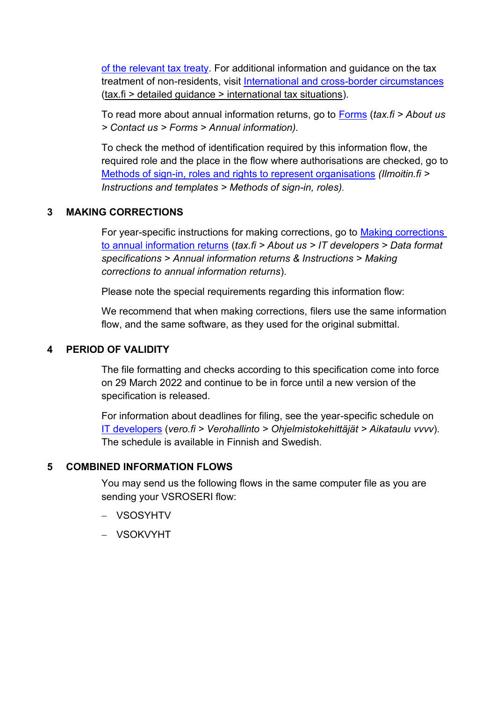[of the relevant tax treaty.](https://www.vero.fi/en/detailed-guidance/guidance/48999/tax-residency-nonresidency-and-residency-in-accordance-with-a-tax-treaty--natural-persons/) For additional information and guidance on the tax treatment of non-residents, visit [International and cross-border circumstances](https://www.vero.fi/en/detailed-guidance/guidance/?page=1&tag=67764) (tax.fi > detailed guidance > international tax situations).

To read more about annual information returns, go to [Forms](https://www.vero.fi/en/About-us/contact-us/forms/) (*tax.fi > About us > Contact us > Forms > Annual information).*

To check the method of identification required by this information flow, the required role and the place in the flow where authorisations are checked, go to [Methods of sign-in, roles and rights to represent organisations](https://www.ilmoitin.fi/webtamo/sivut/IlmoituslajiRoolit?kieli=en&tv=VSROSERI) *[\(Ilmoitin.fi >](https://www.ilmoitin.fi/webtamo/sivut/IlmoituslajiRoolit?tv=VSY02C)  [Instructions and templates > Methods of sign-in, roles\)](https://www.ilmoitin.fi/webtamo/sivut/IlmoituslajiRoolit?tv=VSY02C).*

## <span id="page-2-0"></span>**3 MAKING CORRECTIONS**

For year-specific instructions for making corrections, go to [Making corrections](https://www.vero.fi/en/About-us/it_developer/data-format-specifications/annual_information_returns__instruction/making-corrections-to-annual-information-returns/)  [to annual information returns](https://www.vero.fi/en/About-us/it_developer/data-format-specifications/annual_information_returns__instruction/making-corrections-to-annual-information-returns/) (*tax.fi > About us > IT developers > Data format specifications > Annual information returns & Instructions > Making corrections to annual information returns*).

Please note the special requirements regarding this information flow:

We recommend that when making corrections, filers use the same information flow, and the same software, as they used for the original submittal.

## <span id="page-2-1"></span>**4 PERIOD OF VALIDITY**

The file formatting and checks according to this specification come into force on 29 March 2022 and continue to be in force until a new version of the specification is released.

For information about deadlines for filing, see the year-specific schedule on [IT developers](https://www.vero.fi/tietoa-verohallinnosta/kehittaja/aikataulu-2021/) (*vero.fi > Verohallinto > Ohjelmistokehittäjät > Aikataulu vvvv*). The schedule is available in Finnish and Swedish.

# <span id="page-2-2"></span>**5 COMBINED INFORMATION FLOWS**

You may send us the following flows in the same computer file as you are sending your VSROSERI flow:

- − VSOSYHTV
- − VSOKVYHT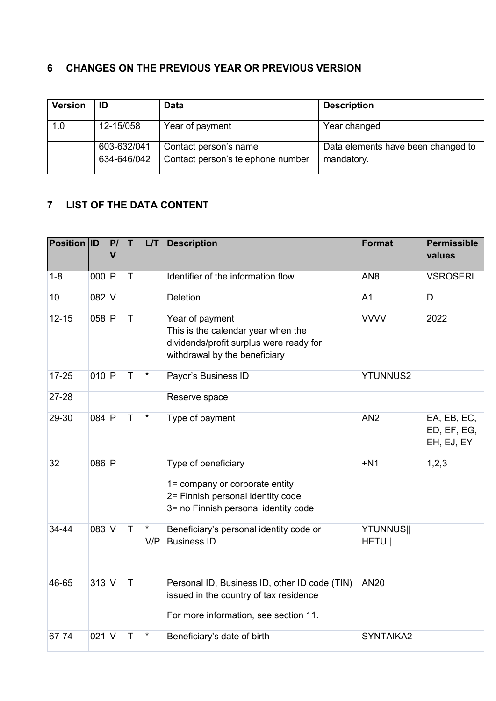# <span id="page-3-0"></span>**6 CHANGES ON THE PREVIOUS YEAR OR PREVIOUS VERSION**

| <b>Version</b> | ID                         | Data                                                       | <b>Description</b>                               |
|----------------|----------------------------|------------------------------------------------------------|--------------------------------------------------|
| 1.0            | 12-15/058                  | Year of payment                                            | Year changed                                     |
|                | 603-632/041<br>634-646/042 | Contact person's name<br>Contact person's telephone number | Data elements have been changed to<br>mandatory. |

# <span id="page-3-1"></span>**7 LIST OF THE DATA CONTENT**

| Position ID |         | P/<br>$\mathbf v$ | T           | LT             | <b>Description</b>                                                                                                                 | <b>Format</b>                     | <b>Permissible</b><br>values             |
|-------------|---------|-------------------|-------------|----------------|------------------------------------------------------------------------------------------------------------------------------------|-----------------------------------|------------------------------------------|
| $1 - 8$     | $000$ P |                   | Τ           |                | Identifier of the information flow                                                                                                 | AN <sub>8</sub>                   | <b>VSROSERI</b>                          |
| 10          | $082$ V |                   |             |                | <b>Deletion</b>                                                                                                                    | A <sub>1</sub>                    | D                                        |
| $12 - 15$   | $058$ P |                   | $\top$      |                | Year of payment<br>This is the calendar year when the<br>dividends/profit surplus were ready for<br>withdrawal by the beneficiary  | <b>VVVV</b>                       | 2022                                     |
| $17 - 25$   | $010$ P |                   | T           | $\star$        | Payor's Business ID                                                                                                                | <b>YTUNNUS2</b>                   |                                          |
| 27-28       |         |                   |             |                | Reserve space                                                                                                                      |                                   |                                          |
| 29-30       | 084 P   |                   | T           | $\star$        | Type of payment                                                                                                                    | AN <sub>2</sub>                   | EA, EB, EC,<br>ED, EF, EG,<br>EH, EJ, EY |
| 32          | 086 P   |                   |             |                | Type of beneficiary<br>1= company or corporate entity<br>2= Finnish personal identity code<br>3= no Finnish personal identity code | $+N1$                             | 1,2,3                                    |
| 34-44       | $083$ V |                   | $\mathsf T$ | $\star$<br>V/P | Beneficiary's personal identity code or<br><b>Business ID</b>                                                                      | <b>YTUNNUS  </b><br><b>HETUII</b> |                                          |
| 46-65       | $313$ V |                   | $\mathsf T$ |                | Personal ID, Business ID, other ID code (TIN)<br>issued in the country of tax residence<br>For more information, see section 11.   | <b>AN20</b>                       |                                          |
| 67-74       | $021$ V |                   | T           | $^\star$       | Beneficiary's date of birth                                                                                                        | SYNTAIKA2                         |                                          |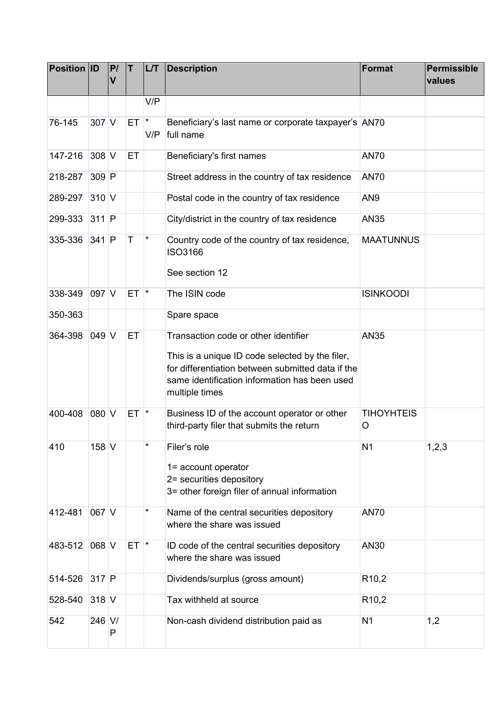| <b>Position ID</b> |         | P/<br>$\overline{\mathsf{V}}$ | T        | LT       | <b>Description</b>                                                                                                                                                                                              | <b>Format</b>          | <b>Permissible</b><br>values |
|--------------------|---------|-------------------------------|----------|----------|-----------------------------------------------------------------------------------------------------------------------------------------------------------------------------------------------------------------|------------------------|------------------------------|
|                    |         |                               |          | V/P      |                                                                                                                                                                                                                 |                        |                              |
| 76-145             | $307$ V |                               | $ET$ $*$ | V/P      | Beneficiary's last name or corporate taxpayer's AN70<br>full name                                                                                                                                               |                        |                              |
| 147-216            | 308 V   |                               | ET       |          | Beneficiary's first names                                                                                                                                                                                       | <b>AN70</b>            |                              |
| 218-287            | 309 P   |                               |          |          | Street address in the country of tax residence                                                                                                                                                                  | <b>AN70</b>            |                              |
| 289-297            | 310 V   |                               |          |          | Postal code in the country of tax residence                                                                                                                                                                     | AN <sub>9</sub>        |                              |
| 299-333            | $311$ P |                               |          |          | City/district in the country of tax residence                                                                                                                                                                   | <b>AN35</b>            |                              |
| 335-336            | $341$ P |                               | T        | $^\star$ | Country code of the country of tax residence,<br><b>ISO3166</b><br>See section 12                                                                                                                               | <b>MAATUNNUS</b>       |                              |
| 338-349            | $097$ V |                               | ET I     | $\ast$   | The ISIN code                                                                                                                                                                                                   | <b>ISINKOODI</b>       |                              |
| 350-363            |         |                               |          |          | Spare space                                                                                                                                                                                                     |                        |                              |
| 364-398            | 049 V   |                               | ET       |          | Transaction code or other identifier<br>This is a unique ID code selected by the filer,<br>for differentiation between submitted data if the<br>same identification information has been used<br>multiple times | <b>AN35</b>            |                              |
| 400-408            | 080 V   |                               | $ET$ $*$ |          | Business ID of the account operator or other<br>third-party filer that submits the return                                                                                                                       | <b>TIHOYHTEIS</b><br>O |                              |
| 410                | $158$ V |                               |          | $^\star$ | Filer's role<br>1= account operator<br>2= securities depository<br>3= other foreign filer of annual information                                                                                                 | N <sub>1</sub>         | 1,2,3                        |
| 412-481            | 067 V   |                               |          | $^\star$ | Name of the central securities depository<br>where the share was issued                                                                                                                                         | <b>AN70</b>            |                              |
| 483-512            | 068 V   |                               | $ET$ $*$ |          | ID code of the central securities depository<br>where the share was issued                                                                                                                                      | AN30                   |                              |
| 514-526            | $317$ P |                               |          |          | Dividends/surplus (gross amount)                                                                                                                                                                                | R <sub>10,2</sub>      |                              |
| 528-540            | 318 V   |                               |          |          | Tax withheld at source                                                                                                                                                                                          | R <sub>10,2</sub>      |                              |
| 542                | 246 V/  | P                             |          |          | Non-cash dividend distribution paid as                                                                                                                                                                          | N <sub>1</sub>         | 1,2                          |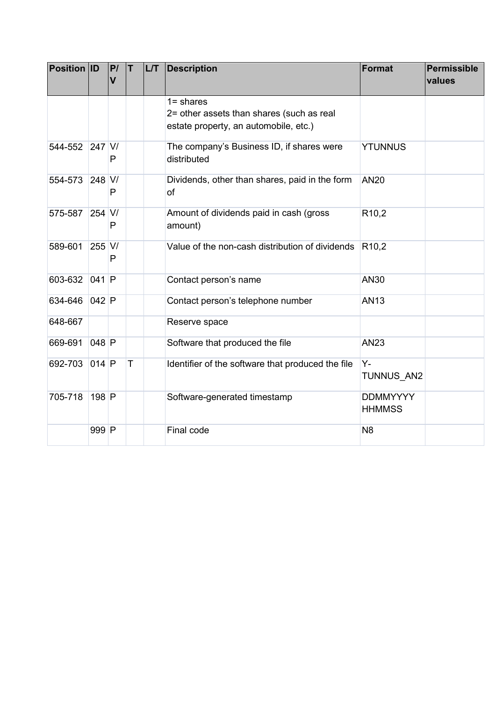| <b>Position ID</b> |         | P/<br>$\mathbf v$ | T | LT | <b>Description</b>                                                                                 | <b>Format</b>                    | <b>Permissible</b><br>values |
|--------------------|---------|-------------------|---|----|----------------------------------------------------------------------------------------------------|----------------------------------|------------------------------|
|                    |         |                   |   |    | $1 =$ shares<br>2= other assets than shares (such as real<br>estate property, an automobile, etc.) |                                  |                              |
| 544-552 247 V/     |         | P                 |   |    | The company's Business ID, if shares were<br>distributed                                           | <b>YTUNNUS</b>                   |                              |
| 554-573            | 248 V/  | P                 |   |    | Dividends, other than shares, paid in the form<br>of                                               | <b>AN20</b>                      |                              |
| 575-587            | 254 V/  | P                 |   |    | Amount of dividends paid in cash (gross<br>amount)                                                 | R <sub>10,2</sub>                |                              |
| 589-601            | 255 V/  | P                 |   |    | Value of the non-cash distribution of dividends                                                    | R <sub>10,2</sub>                |                              |
| 603-632            | 041 P   |                   |   |    | Contact person's name                                                                              | <b>AN30</b>                      |                              |
| 634-646            | 042 P   |                   |   |    | Contact person's telephone number                                                                  | <b>AN13</b>                      |                              |
| 648-667            |         |                   |   |    | Reserve space                                                                                      |                                  |                              |
| 669-691            | $048$ P |                   |   |    | Software that produced the file                                                                    | <b>AN23</b>                      |                              |
| 692-703            | 014 P   |                   | T |    | Identifier of the software that produced the file                                                  | Υ-<br>TUNNUS AN2                 |                              |
| 705-718            | 198 P   |                   |   |    | Software-generated timestamp                                                                       | <b>DDMMYYYY</b><br><b>HHMMSS</b> |                              |
|                    | 999 P   |                   |   |    | Final code                                                                                         | N <sub>8</sub>                   |                              |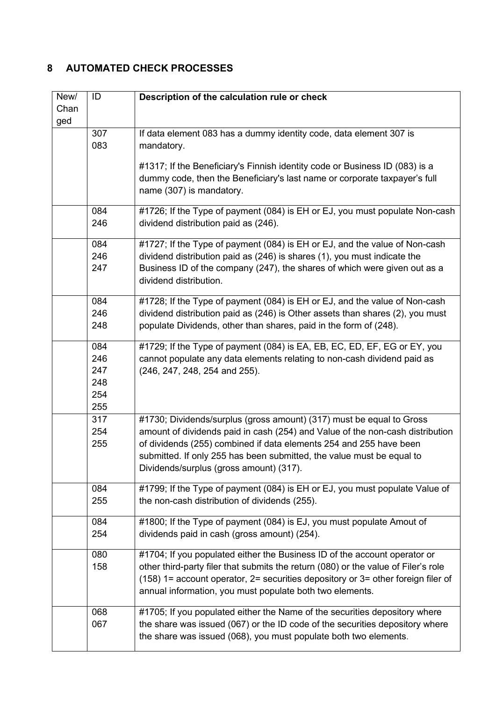# <span id="page-6-0"></span>**8 AUTOMATED CHECK PROCESSES**

| New/        | ID         | Description of the calculation rule or check                                                                                                                           |
|-------------|------------|------------------------------------------------------------------------------------------------------------------------------------------------------------------------|
| Chan<br>ged |            |                                                                                                                                                                        |
|             | 307        | If data element 083 has a dummy identity code, data element 307 is                                                                                                     |
|             | 083        | mandatory.                                                                                                                                                             |
|             |            |                                                                                                                                                                        |
|             |            | #1317; If the Beneficiary's Finnish identity code or Business ID (083) is a<br>dummy code, then the Beneficiary's last name or corporate taxpayer's full               |
|             |            | name (307) is mandatory.                                                                                                                                               |
|             |            |                                                                                                                                                                        |
|             | 084        | #1726; If the Type of payment (084) is EH or EJ, you must populate Non-cash                                                                                            |
|             | 246        | dividend distribution paid as (246).                                                                                                                                   |
|             | 084        | #1727; If the Type of payment (084) is EH or EJ, and the value of Non-cash                                                                                             |
|             | 246        | dividend distribution paid as (246) is shares (1), you must indicate the                                                                                               |
|             | 247        | Business ID of the company (247), the shares of which were given out as a                                                                                              |
|             |            | dividend distribution.                                                                                                                                                 |
|             | 084        | #1728; If the Type of payment (084) is EH or EJ, and the value of Non-cash                                                                                             |
|             | 246        | dividend distribution paid as (246) is Other assets than shares (2), you must                                                                                          |
|             | 248        | populate Dividends, other than shares, paid in the form of (248).                                                                                                      |
|             | 084        | #1729; If the Type of payment (084) is EA, EB, EC, ED, EF, EG or EY, you                                                                                               |
|             | 246        | cannot populate any data elements relating to non-cash dividend paid as                                                                                                |
|             | 247        | (246, 247, 248, 254 and 255).                                                                                                                                          |
|             | 248        |                                                                                                                                                                        |
|             | 254<br>255 |                                                                                                                                                                        |
|             | 317        | #1730; Dividends/surplus (gross amount) (317) must be equal to Gross                                                                                                   |
|             | 254        | amount of dividends paid in cash (254) and Value of the non-cash distribution                                                                                          |
|             | 255        | of dividends (255) combined if data elements 254 and 255 have been                                                                                                     |
|             |            | submitted. If only 255 has been submitted, the value must be equal to                                                                                                  |
|             |            | Dividends/surplus (gross amount) (317).                                                                                                                                |
|             | 084        | #1799; If the Type of payment (084) is EH or EJ, you must populate Value of                                                                                            |
|             | 255        | the non-cash distribution of dividends (255).                                                                                                                          |
|             | 084        | #1800; If the Type of payment (084) is EJ, you must populate Amout of                                                                                                  |
|             | 254        | dividends paid in cash (gross amount) (254).                                                                                                                           |
|             |            |                                                                                                                                                                        |
|             | 080        | #1704; If you populated either the Business ID of the account operator or                                                                                              |
|             | 158        | other third-party filer that submits the return (080) or the value of Filer's role<br>(158) 1= account operator, 2= securities depository or 3= other foreign filer of |
|             |            | annual information, you must populate both two elements.                                                                                                               |
|             |            |                                                                                                                                                                        |
|             | 068        | #1705; If you populated either the Name of the securities depository where                                                                                             |
|             | 067        | the share was issued (067) or the ID code of the securities depository where                                                                                           |
|             |            | the share was issued (068), you must populate both two elements.                                                                                                       |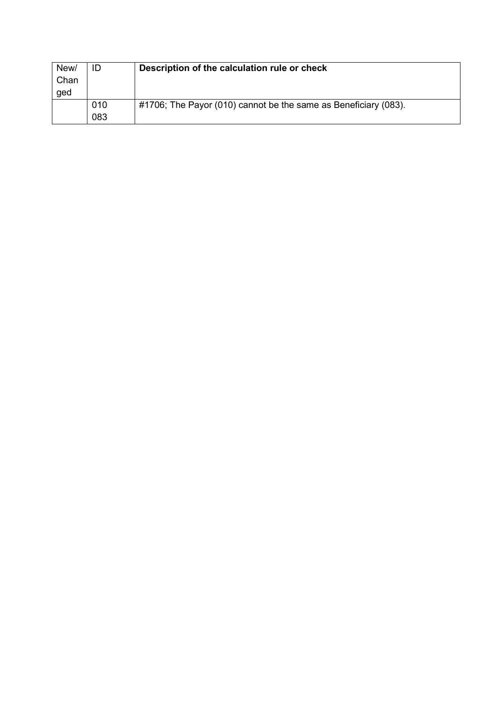| New/<br>Chan<br>ged | ID         | Description of the calculation rule or check                    |
|---------------------|------------|-----------------------------------------------------------------|
|                     | 010<br>083 | #1706; The Payor (010) cannot be the same as Beneficiary (083). |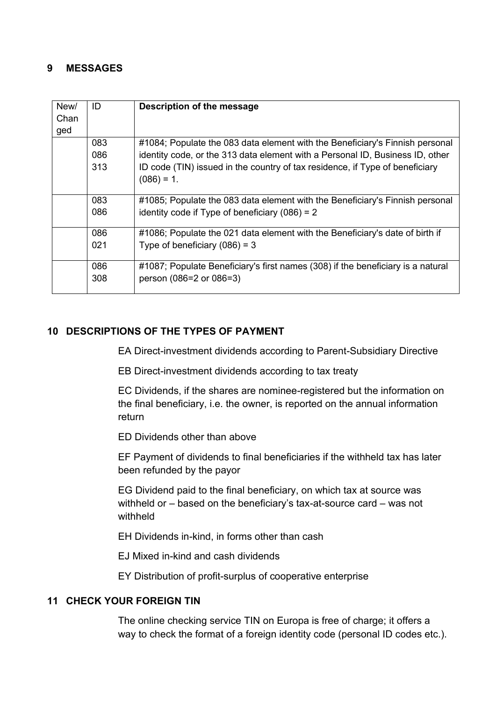### <span id="page-8-0"></span>**9 MESSAGES**

| #1084; Populate the 083 data element with the Beneficiary's Finnish personal    |
|---------------------------------------------------------------------------------|
| identity code, or the 313 data element with a Personal ID, Business ID, other   |
| ID code (TIN) issued in the country of tax residence, if Type of beneficiary    |
|                                                                                 |
|                                                                                 |
| #1085; Populate the 083 data element with the Beneficiary's Finnish personal    |
|                                                                                 |
|                                                                                 |
| #1086; Populate the 021 data element with the Beneficiary's date of birth if    |
|                                                                                 |
|                                                                                 |
| #1087; Populate Beneficiary's first names (308) if the beneficiary is a natural |
|                                                                                 |
|                                                                                 |
|                                                                                 |

## <span id="page-8-1"></span>**10 DESCRIPTIONS OF THE TYPES OF PAYMENT**

EA Direct-investment dividends according to Parent-Subsidiary Directive

EB Direct-investment dividends according to tax treaty

EC Dividends, if the shares are nominee-registered but the information on the final beneficiary, i.e. the owner, is reported on the annual information return

ED Dividends other than above

EF Payment of dividends to final beneficiaries if the withheld tax has later been refunded by the payor

EG Dividend paid to the final beneficiary, on which tax at source was withheld or – based on the beneficiary's tax-at-source card – was not withheld

EH Dividends in-kind, in forms other than cash

EJ Mixed in-kind and cash dividends

EY Distribution of profit-surplus of cooperative enterprise

#### <span id="page-8-2"></span>**11 CHECK YOUR FOREIGN TIN**

The online checking service TIN on Europa is free of charge; it offers a way to check the format of a foreign identity code (personal ID codes etc.).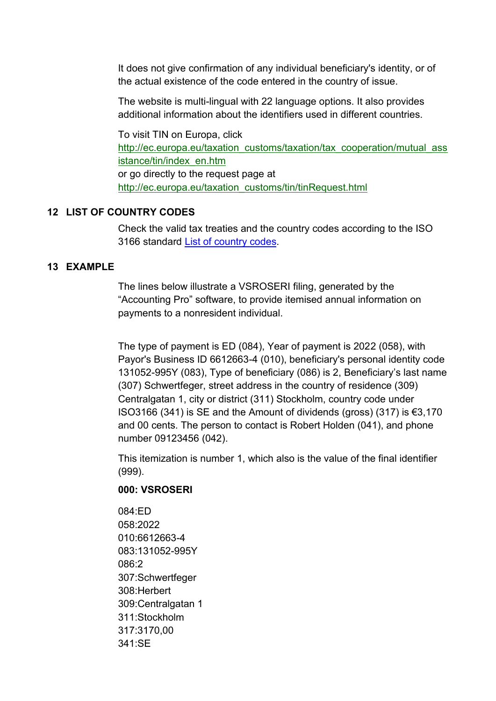It does not give confirmation of any individual beneficiary's identity, or of the actual existence of the code entered in the country of issue.

The website is multi-lingual with 22 language options. It also provides additional information about the identifiers used in different countries.

To visit TIN on Europa, click [http://ec.europa.eu/taxation\\_customs/taxation/tax\\_cooperation/mutual\\_ass](http://ec.europa.eu/taxation_customs/taxation/tax_cooperation/mutual_assistance/tin/index_en.htm) [istance/tin/index\\_en.htm](http://ec.europa.eu/taxation_customs/taxation/tax_cooperation/mutual_assistance/tin/index_en.htm) or go directly to the request page at [http://ec.europa.eu/taxation\\_customs/tin/tinRequest.html](http://ec.europa.eu/taxation_customs/tin/tinRequest.html)

## <span id="page-9-0"></span>**12 LIST OF COUNTRY CODES**

Check the valid tax treaties and the country codes according to the ISO 3166 standard [List of country codes.](https://www.ilmoitin.fi/webtamo/sivut/ExcelPohjat?2-1.ILinkListener-apuvalineet-maatunnuslistaus_linkki)

## <span id="page-9-1"></span>**13 EXAMPLE**

The lines below illustrate a VSROSERI filing, generated by the "Accounting Pro" software, to provide itemised annual information on payments to a nonresident individual.

The type of payment is ED (084), Year of payment is 2022 (058), with Payor's Business ID 6612663-4 (010), beneficiary's personal identity code 131052-995Y (083), Type of beneficiary (086) is 2, Beneficiary's last name (307) Schwertfeger, street address in the country of residence (309) Centralgatan 1, city or district (311) Stockholm, country code under ISO3166 (341) is SE and the Amount of dividends (gross) (317) is €3,170 and 00 cents. The person to contact is Robert Holden (041), and phone number 09123456 (042).

This itemization is number 1, which also is the value of the final identifier (999).

## **000: VSROSERI**

084:ED 058:2022 010:6612663-4 083:131052-995Y 086:2 307:Schwertfeger 308:Herbert 309:Centralgatan 1 311:Stockholm 317:3170,00 341:SE